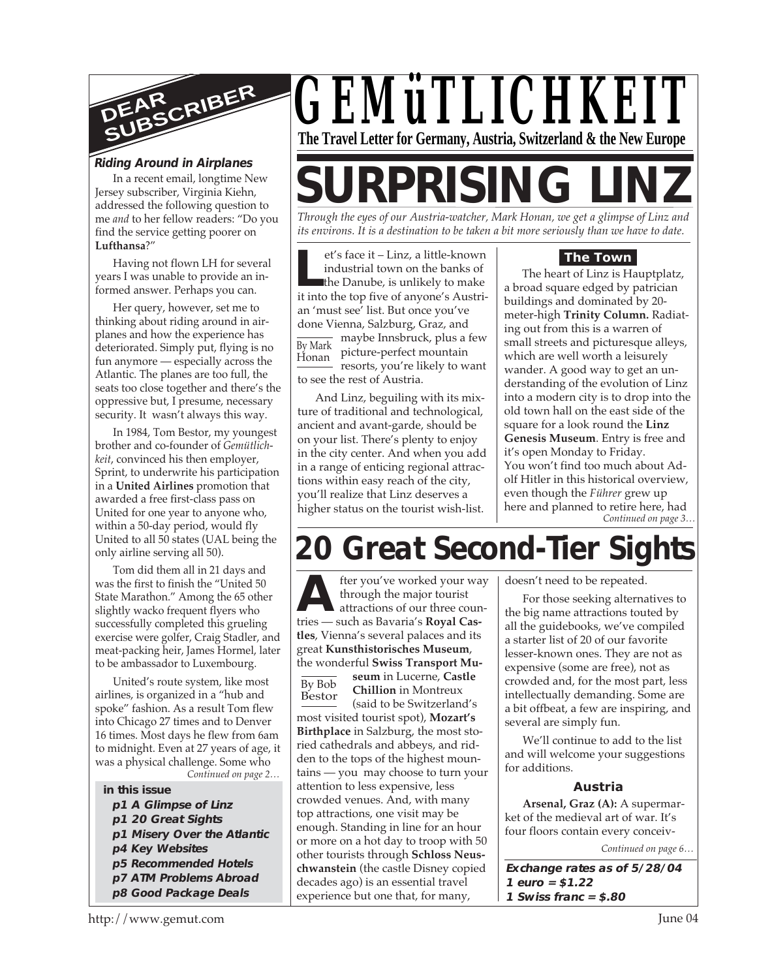

#### **Riding Around in Airplanes**

In a recent email, longtime New Jersey subscriber, Virginia Kiehn, addressed the following question to me *and* to her fellow readers: "Do you find the service getting poorer on **Lufthansa**?"

Having not flown LH for several years I was unable to provide an informed answer. Perhaps you can.

Her query, however, set me to thinking about riding around in airplanes and how the experience has deteriorated. Simply put, flying is no fun anymore — especially across the Atlantic. The planes are too full, the seats too close together and there's the oppressive but, I presume, necessary security. It wasn't always this way.

In 1984, Tom Bestor, my youngest brother and co-founder of *Gemütlichkeit*, convinced his then employer, Sprint, to underwrite his participation in a **United Airlines** promotion that awarded a free first-class pass on United for one year to anyone who, within a 50-day period, would fly United to all 50 states (UAL being the only airline serving all 50).

Tom did them all in 21 days and was the first to finish the "United 50 State Marathon." Among the 65 other slightly wacko frequent flyers who successfully completed this grueling exercise were golfer, Craig Stadler, and meat-packing heir, James Hormel, later to be ambassador to Luxembourg.

*Continued on page 2…* United's route system, like most airlines, is organized in a "hub and spoke" fashion. As a result Tom flew into Chicago 27 times and to Denver 16 times. Most days he flew from 6am to midnight. Even at 27 years of age, it was a physical challenge. Some who

#### **in this issue**

- **p1 A Glimpse of Linz**
- **p1 20 Great Sights**
- **p1 Misery Over the Atlantic**
- **p4 Key Websites**
- **p5 Recommended Hotels**
- **p7 ATM Problems Abroad p8 Good Package Deals**



# **SURPRISING LII**

*Through the eyes of our Austria-watcher, Mark Honan, we get a glimpse of Linz and its environs. It is a destination to be taken a bit more seriously than we have to date.*

et's face it – Linz, a little-known<br>
industrial town on the banks of<br>
the Danube, is unlikely to make<br>
it into the top five of anyone's Austri-By Mark Honan et's face it – Linz, a little-known industrial town on the banks of the Danube, is unlikely to make an 'must see' list. But once you've done Vienna, Salzburg, Graz, and maybe Innsbruck, plus a few picture-perfect mountain resorts, you're likely to want to see the rest of Austria.

And Linz, beguiling with its mixture of traditional and technological, ancient and avant-garde, should be on your list. There's plenty to enjoy in the city center. And when you add in a range of enticing regional attractions within easy reach of the city, you'll realize that Linz deserves a higher status on the tourist wish-list.

#### **The Town**

*Continued on page 3…* The heart of Linz is Hauptplatz, a broad square edged by patrician buildings and dominated by 20 meter-high **Trinity Column.** Radiating out from this is a warren of small streets and picturesque alleys, which are well worth a leisurely wander. A good way to get an understanding of the evolution of Linz into a modern city is to drop into the old town hall on the east side of the square for a look round the **Linz Genesis Museum**. Entry is free and it's open Monday to Friday. You won't find too much about Adolf Hitler in this historical overview, even though the *Führer* grew up here and planned to retire here, had

## **20 Great Second-Tier Sights**

**A** through the major tourist<br>attractions of our three coun<br>tries — such as Bavaria's **Royal Cas**fter you've worked your way through the major tourist attractions of our three coun**tles**, Vienna's several palaces and its great **Kunsthistorisches Museum**, the wonderful **Swiss Transport Mu-**

By Bob Bestor **seum** in Lucerne, **Castle Chillion** in Montreux (said to be Switzerland's most visited tourist spot), **Mozart's Birthplace** in Salzburg, the most storied cathedrals and abbeys, and ridden to the tops of the highest mountains — you may choose to turn your attention to less expensive, less crowded venues. And, with many top attractions, one visit may be enough. Standing in line for an hour or more on a hot day to troop with 50 other tourists through **Schloss Neuschwanstein** (the castle Disney copied decades ago) is an essential travel experience but one that, for many,

doesn't need to be repeated.

For those seeking alternatives to the big name attractions touted by all the guidebooks, we've compiled a starter list of 20 of our favorite lesser-known ones. They are not as expensive (some are free), not as crowded and, for the most part, less intellectually demanding. Some are a bit offbeat, a few are inspiring, and several are simply fun.

We'll continue to add to the list and will welcome your suggestions for additions.

#### **Austria**

**Arsenal, Graz (A):** A supermarket of the medieval art of war. It's four floors contain every conceiv-

*Continued on page 6…*

**Exchange rates as of 5/28/04 1 euro = \$1.22 1 Swiss franc = \$.80**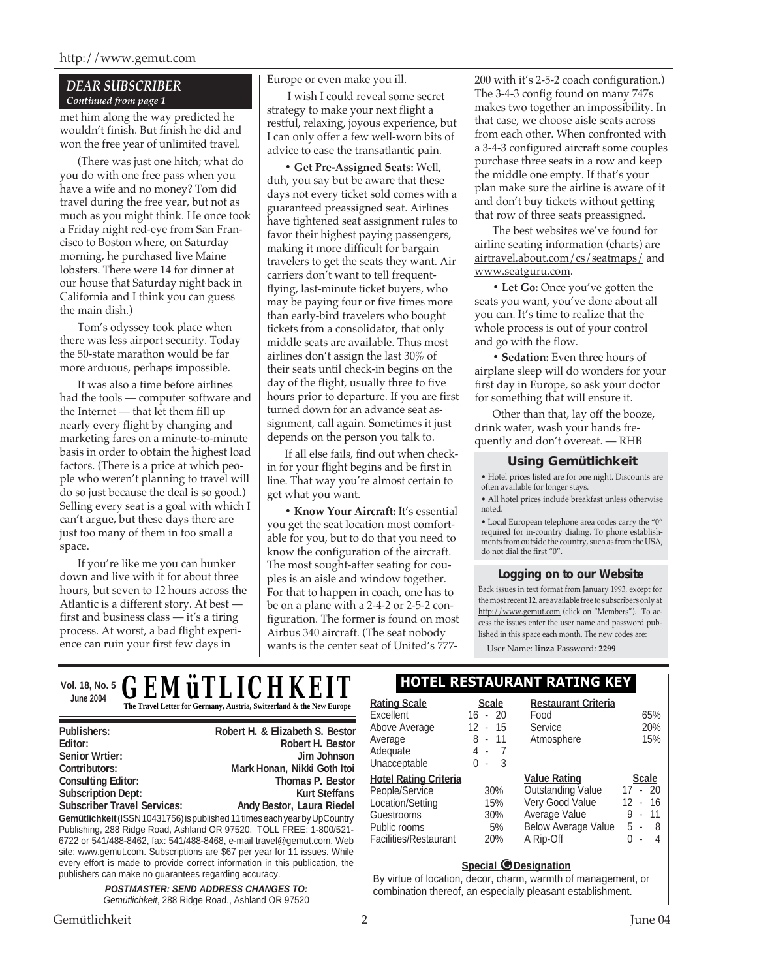#### *DEAR SUBSCRIBER Continued from page 1*

met him along the way predicted he wouldn't finish. But finish he did and won the free year of unlimited travel.

(There was just one hitch; what do you do with one free pass when you have a wife and no money? Tom did travel during the free year, but not as much as you might think. He once took a Friday night red-eye from San Francisco to Boston where, on Saturday morning, he purchased live Maine lobsters. There were 14 for dinner at our house that Saturday night back in California and I think you can guess the main dish.)

Tom's odyssey took place when there was less airport security. Today the 50-state marathon would be far more arduous, perhaps impossible.

It was also a time before airlines had the tools — computer software and the Internet — that let them fill up nearly every flight by changing and marketing fares on a minute-to-minute basis in order to obtain the highest load factors. (There is a price at which people who weren't planning to travel will do so just because the deal is so good.) Selling every seat is a goal with which I can't argue, but these days there are just too many of them in too small a space.

If you're like me you can hunker down and live with it for about three hours, but seven to 12 hours across the Atlantic is a different story. At best first and business class — it's a tiring process. At worst, a bad flight experience can ruin your first few days in

**Gemütlichkeit** (ISSN 10431756) is published 11 times each year by UpCountry Publishing, 288 Ridge Road, Ashland OR 97520. TOLL FREE: 1-800/521- 6722 or 541/488-8462, fax: 541/488-8468, e-mail travel@gemut.com. Web site: www.gemut.com. Subscriptions are \$67 per year for 11 issues. While every effort is made to provide correct information in this publication, the

**Consulting Editor:** Thomas P. Bestor **Consulting Editor: Thomas P. Bestor Subscription Dept:** Kurt Steffans Subscriber Travel Services: Andy Bestor, Laura Riedel

> **POSTMASTER: SEND ADDRESS CHANGES TO:** Gemütlichkeit, 288 Ridge Road., Ashland OR 97520

publishers can make no guarantees regarding accuracy.

Europe or even make you ill.

 I wish I could reveal some secret strategy to make your next flight a restful, relaxing, joyous experience, but I can only offer a few well-worn bits of advice to ease the transatlantic pain.

**• Get Pre-Assigned Seats:** Well, duh, you say but be aware that these days not every ticket sold comes with a guaranteed preassigned seat. Airlines have tightened seat assignment rules to favor their highest paying passengers, making it more difficult for bargain travelers to get the seats they want. Air carriers don't want to tell frequentflying, last-minute ticket buyers, who may be paying four or five times more than early-bird travelers who bought tickets from a consolidator, that only middle seats are available. Thus most airlines don't assign the last 30% of their seats until check-in begins on the day of the flight, usually three to five hours prior to departure. If you are first turned down for an advance seat assignment, call again. Sometimes it just depends on the person you talk to.

If all else fails, find out when checkin for your flight begins and be first in line. That way you're almost certain to get what you want.

**• Know Your Aircraft:** It's essential you get the seat location most comfortable for you, but to do that you need to know the configuration of the aircraft. The most sought-after seating for couples is an aisle and window together. For that to happen in coach, one has to be on a plane with a 2-4-2 or 2-5-2 configuration. The former is found on most Airbus 340 aircraft. (The seat nobody wants is the center seat of United's 777200 with it's 2-5-2 coach configuration.) The 3-4-3 config found on many 747s makes two together an impossibility. In that case, we choose aisle seats across from each other. When confronted with a 3-4-3 configured aircraft some couples purchase three seats in a row and keep the middle one empty. If that's your plan make sure the airline is aware of it and don't buy tickets without getting that row of three seats preassigned.

The best websites we've found for airline seating information (charts) are airtravel.about.com/cs/seatmaps/ and www.seatguru.com.

**• Let Go:** Once you've gotten the seats you want, you've done about all you can. It's time to realize that the whole process is out of your control and go with the flow.

**• Sedation:** Even three hours of airplane sleep will do wonders for your first day in Europe, so ask your doctor for something that will ensure it.

Other than that, lay off the booze, drink water, wash your hands frequently and don't overeat. — RHB

#### **Using Gemütlichkeit**

• Hotel prices listed are for one night. Discounts are often available for longer stays.

• All hotel prices include breakfast unless otherwise noted.

• Local European telephone area codes carry the "0" required for in-country dialing. To phone establishments from outside the country, such as from the USA, do not dial the first "0".

#### **Logging on to our Website**

Back issues in text format from January 1993, except for the most recent 12, are available free to subscribers only at http://www.gemut.com (click on "Members"). To access the issues enter the user name and password published in this space each month. The new codes are:

User Name: **linza** Password: **2299**

|                                        | VOI. 18, No. 5 <b>GEMÜTLICHKEIT</b>                                  | <b>HOTEL RESTAURANT RATING KEY</b> |                           |                                    |            |
|----------------------------------------|----------------------------------------------------------------------|------------------------------------|---------------------------|------------------------------------|------------|
| <b>June 2004</b>                       | The Travel Letter for Germany, Austria, Switzerland & the New Europe | <b>Rating Scale</b><br>Excellent   | <b>Scale</b><br>$16 - 20$ | <b>Restaurant Criteria</b><br>Food | 65%        |
| Publishers:<br>Editor:                 | Robert H. & Elizabeth S. Bestor<br>Robert H. Bestor                  | Above Average<br>Average           | $12 - 15$<br>8 - 11       | Service<br>Atmosphere              | 20%<br>15% |
| <b>Senior Wrtier:</b><br>Contributors: | Jim Johnson<br>Mark Honan, Nikki Goth Itoi                           | Adequate<br>Unacceptable           | 4 -<br>$0 -$              |                                    |            |

| <b>Hotel Rating Criteria</b> | <b>Value Rating</b> |                            | <b>Scale</b> |  |           |
|------------------------------|---------------------|----------------------------|--------------|--|-----------|
| People/Service               | 30%                 | <b>Outstanding Value</b>   |              |  | $17 - 20$ |
| Location/Setting             | 15%                 | Very Good Value            |              |  | $12 - 16$ |
| Guestrooms                   | $30\%$              | Average Value              |              |  | $9 - 11$  |
| Public rooms                 | 5%                  | <b>Below Average Value</b> | $5 -$        |  | 8         |
| <b>Facilities/Restaurant</b> | 20%                 | A Rip-Off                  | ი -          |  | 4         |

#### **Special** *O* Designation

By virtue of location, decor, charm, warmth of management, or combination thereof, an especially pleasant establishment.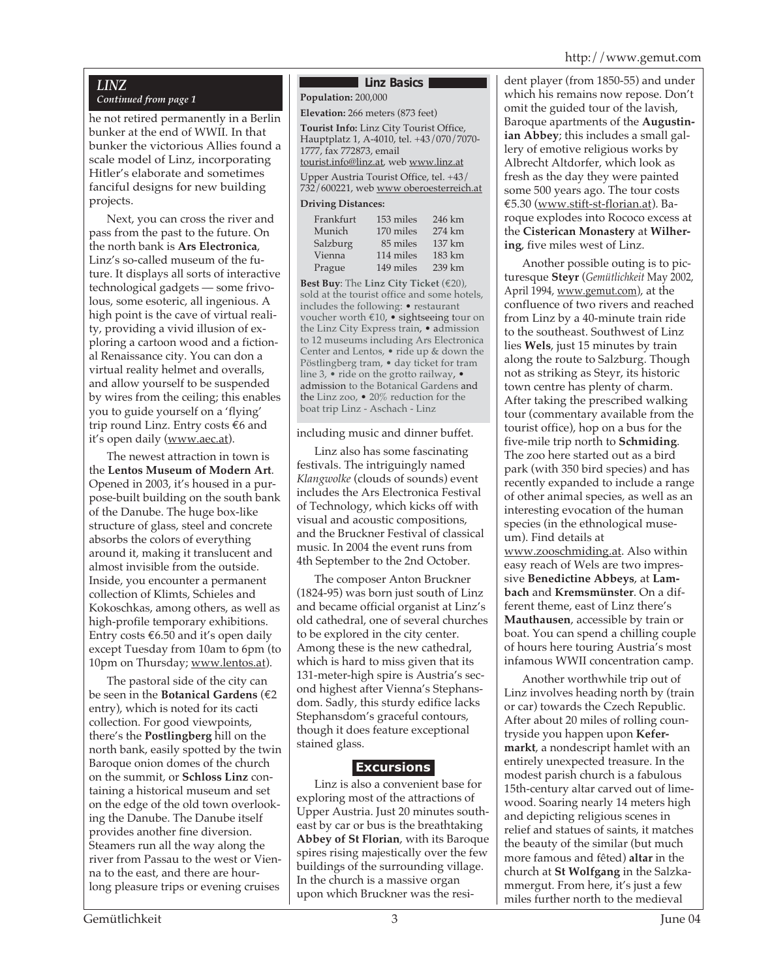#### *LINZ*

#### *Continued from page 1*

he not retired permanently in a Berlin bunker at the end of WWII. In that bunker the victorious Allies found a scale model of Linz, incorporating Hitler's elaborate and sometimes fanciful designs for new building projects.

Next, you can cross the river and pass from the past to the future. On the north bank is **Ars Electronica**, Linz's so-called museum of the future. It displays all sorts of interactive technological gadgets — some frivolous, some esoteric, all ingenious. A high point is the cave of virtual reality, providing a vivid illusion of exploring a cartoon wood and a fictional Renaissance city. You can don a virtual reality helmet and overalls, and allow yourself to be suspended by wires from the ceiling; this enables you to guide yourself on a 'flying' trip round Linz. Entry costs €6 and it's open daily (www.aec.at).

The newest attraction in town is the **Lentos Museum of Modern Art**. Opened in 2003, it's housed in a purpose-built building on the south bank of the Danube. The huge box-like structure of glass, steel and concrete absorbs the colors of everything around it, making it translucent and almost invisible from the outside. Inside, you encounter a permanent collection of Klimts, Schieles and Kokoschkas, among others, as well as high-profile temporary exhibitions. Entry costs  $€6.50$  and it's open daily except Tuesday from 10am to 6pm (to 10pm on Thursday; www.lentos.at).

The pastoral side of the city can be seen in the **Botanical Gardens** (€2 entry), which is noted for its cacti collection. For good viewpoints, there's the **Postlingberg** hill on the north bank, easily spotted by the twin Baroque onion domes of the church on the summit, or **Schloss Linz** containing a historical museum and set on the edge of the old town overlooking the Danube. The Danube itself provides another fine diversion. Steamers run all the way along the river from Passau to the west or Vienna to the east, and there are hourlong pleasure trips or evening cruises

#### **Linz Basics**

**Population:** 200,000 **Elevation:** 266 meters (873 feet)

**Tourist Info:** Linz City Tourist Office, Hauptplatz 1, A-4010, tel. +43/070/7070- 1777, fax 772873, email tourist.info@linz.at, web www.linz.at

Upper Austria Tourist Office, tel. +43/ 732/600221, web www oberoesterreich.at

#### **Driving Distances:**

| 153 miles | 246 km |
|-----------|--------|
| 170 miles | 274 km |
| 85 miles  | 137 km |
| 114 miles | 183 km |
| 149 miles | 239 km |
|           |        |

**Best Buy**: The **Linz City Ticket** (€20), sold at the tourist office and some hotels, includes the following: • restaurant voucher worth €10, • sightseeing tour on the Linz City Express train, • admission to 12 museums including Ars Electronica Center and Lentos, • ride up & down the Pöstlingberg tram, • day ticket for tram line 3, • ride on the grotto railway, • admission to the Botanical Gardens and the Linz zoo, • 20% reduction for the boat trip Linz - Aschach - Linz

#### including music and dinner buffet.

Linz also has some fascinating festivals. The intriguingly named *Klangwolke* (clouds of sounds) event includes the Ars Electronica Festival of Technology, which kicks off with visual and acoustic compositions, and the Bruckner Festival of classical music. In 2004 the event runs from 4th September to the 2nd October.

The composer Anton Bruckner (1824-95) was born just south of Linz and became official organist at Linz's old cathedral, one of several churches to be explored in the city center. Among these is the new cathedral, which is hard to miss given that its 131-meter-high spire is Austria's second highest after Vienna's Stephansdom. Sadly, this sturdy edifice lacks Stephansdom's graceful contours, though it does feature exceptional stained glass.

#### **Excursions**

Linz is also a convenient base for exploring most of the attractions of Upper Austria. Just 20 minutes southeast by car or bus is the breathtaking **Abbey of St Florian**, with its Baroque spires rising majestically over the few buildings of the surrounding village. In the church is a massive organ upon which Bruckner was the resident player (from 1850-55) and under which his remains now repose. Don't omit the guided tour of the lavish, Baroque apartments of the **Augustinian Abbey**; this includes a small gallery of emotive religious works by Albrecht Altdorfer, which look as fresh as the day they were painted some 500 years ago. The tour costs €5.30 (www.stift-st-florian.at). Baroque explodes into Rococo excess at the **Cisterican Monastery** at **Wilhering**, five miles west of Linz.

Another possible outing is to picturesque **Steyr** (*Gemütlichkeit* May 2002, April 1994, www.gemut.com), at the confluence of two rivers and reached from Linz by a 40-minute train ride to the southeast. Southwest of Linz lies **Wels**, just 15 minutes by train along the route to Salzburg. Though not as striking as Steyr, its historic town centre has plenty of charm. After taking the prescribed walking tour (commentary available from the tourist office), hop on a bus for the five-mile trip north to **Schmiding**. The zoo here started out as a bird park (with 350 bird species) and has recently expanded to include a range of other animal species, as well as an interesting evocation of the human species (in the ethnological museum). Find details at www.zooschmiding.at. Also within

easy reach of Wels are two impressive **Benedictine Abbeys**, at **Lambach** and **Kremsmünster**. On a different theme, east of Linz there's **Mauthausen**, accessible by train or boat. You can spend a chilling couple of hours here touring Austria's most infamous WWII concentration camp.

Another worthwhile trip out of Linz involves heading north by (train or car) towards the Czech Republic. After about 20 miles of rolling countryside you happen upon **Kefermarkt**, a nondescript hamlet with an entirely unexpected treasure. In the modest parish church is a fabulous 15th-century altar carved out of limewood. Soaring nearly 14 meters high and depicting religious scenes in relief and statues of saints, it matches the beauty of the similar (but much more famous and fêted) **altar** in the church at **St Wolfgang** in the Salzkammergut. From here, it's just a few miles further north to the medieval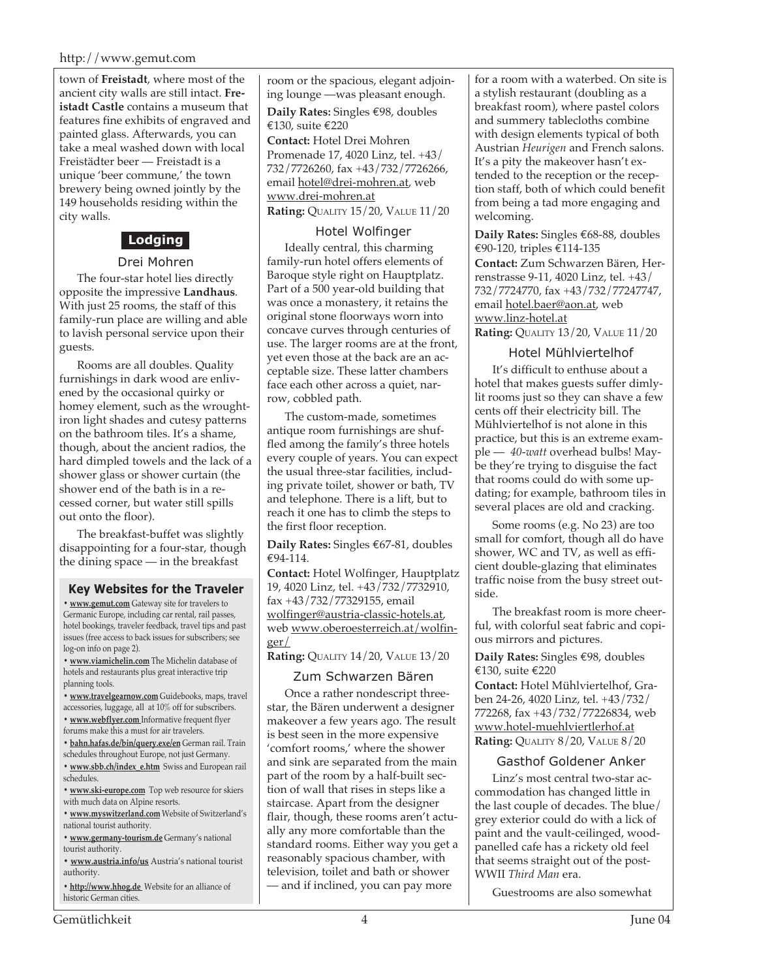town of **Freistadt**, where most of the ancient city walls are still intact. **Freistadt Castle** contains a museum that features fine exhibits of engraved and painted glass. Afterwards, you can take a meal washed down with local Freistädter beer — Freistadt is a unique 'beer commune,' the town brewery being owned jointly by the 149 households residing within the city walls.

#### **Lodging**

#### Drei Mohren

The four-star hotel lies directly opposite the impressive **Landhaus**. With just 25 rooms, the staff of this family-run place are willing and able to lavish personal service upon their guests.

Rooms are all doubles. Quality furnishings in dark wood are enlivened by the occasional quirky or homey element, such as the wroughtiron light shades and cutesy patterns on the bathroom tiles. It's a shame, though, about the ancient radios, the hard dimpled towels and the lack of a shower glass or shower curtain (the shower end of the bath is in a recessed corner, but water still spills out onto the floor).

The breakfast-buffet was slightly disappointing for a four-star, though the dining space — in the breakfast

#### **Key Websites for the Traveler**

**• www.gemut.com** Gateway site for travelers to Germanic Europe, including car rental, rail passes, hotel bookings, traveler feedback, travel tips and past issues (free access to back issues for subscribers; see log-on info on page 2).

**• www.viamichelin.com** The Michelin database of hotels and restaurants plus great interactive trip planning tools.

**• www.travelgearnow.com** Guidebooks, maps, travel accessories, luggage, all at 10% off for subscribers.

- **www.webflyer.com** Informative frequent flyer forums make this a must for air travelers.
- **bahn.hafas.de/bin/query.exe/en** German rail. Train
- schedules throughout Europe, not just Germany.
- **www.sbb.ch/index\_e.htm** Swiss and European rail schedules.
- **www.ski-europe.com** Top web resource for skiers with much data on Alpine resorts.
- **www.myswitzerland.com** Website of Switzerland's national tourist authority.
- **www.germany-tourism.de** Germany's national tourist authority.
- **www.austria.info/us** Austria's national tourist authority.

**• http://www.hhog.de** Website for an alliance of historic German cities.

room or the spacious, elegant adjoining lounge —was pleasant enough.

**Daily Rates:** Singles €98, doubles €130, suite €220

**Contact:** Hotel Drei Mohren Promenade 17, 4020 Linz, tel. +43/ 732/7726260, fax +43/732/7726266, email hotel@drei-mohren.at, web www.drei-mohren.at **Rating:** QUALITY 15/20, VALUE 11/20

#### Hotel Wolfinger

Ideally central, this charming family-run hotel offers elements of Baroque style right on Hauptplatz. Part of a 500 year-old building that was once a monastery, it retains the original stone floorways worn into concave curves through centuries of use. The larger rooms are at the front, yet even those at the back are an acceptable size. These latter chambers face each other across a quiet, narrow, cobbled path.

The custom-made, sometimes antique room furnishings are shuffled among the family's three hotels every couple of years. You can expect the usual three-star facilities, including private toilet, shower or bath, TV and telephone. There is a lift, but to reach it one has to climb the steps to the first floor reception.

**Daily Rates:** Singles €67-81, doubles €94-114.

**Contact:** Hotel Wolfinger, Hauptplatz 19, 4020 Linz, tel. +43/732/7732910, fax +43/732/77329155, email wolfinger@austria-classic-hotels.at, web www.oberoesterreich.at/wolfinger/

**Rating:** QUALITY 14/20, VALUE 13/20

#### Zum Schwarzen Bären

Once a rather nondescript threestar, the Bären underwent a designer makeover a few years ago. The result is best seen in the more expensive 'comfort rooms,' where the shower and sink are separated from the main part of the room by a half-built section of wall that rises in steps like a staircase. Apart from the designer flair, though, these rooms aren't actually any more comfortable than the standard rooms. Either way you get a reasonably spacious chamber, with television, toilet and bath or shower — and if inclined, you can pay more

for a room with a waterbed. On site is a stylish restaurant (doubling as a breakfast room), where pastel colors and summery tablecloths combine with design elements typical of both Austrian *Heurigen* and French salons. It's a pity the makeover hasn't extended to the reception or the reception staff, both of which could benefit from being a tad more engaging and welcoming.

**Daily Rates:** Singles €68-88, doubles €90-120, triples €114-135 **Contact:** Zum Schwarzen Bären, Herrenstrasse 9-11, 4020 Linz, tel. +43/ 732/7724770, fax +43/732/77247747, email hotel.baer@aon.at, web www.linz-hotel.at

**Rating:** QUALITY 13/20, VALUE 11/20

#### Hotel Mühlviertelhof

It's difficult to enthuse about a hotel that makes guests suffer dimlylit rooms just so they can shave a few cents off their electricity bill. The Mühlviertelhof is not alone in this practice, but this is an extreme example — *40-watt* overhead bulbs! Maybe they're trying to disguise the fact that rooms could do with some updating; for example, bathroom tiles in several places are old and cracking.

Some rooms (e.g. No 23) are too small for comfort, though all do have shower, WC and TV, as well as efficient double-glazing that eliminates traffic noise from the busy street outside.

The breakfast room is more cheerful, with colorful seat fabric and copious mirrors and pictures.

**Daily Rates:** Singles €98, doubles €130, suite €220

**Contact:** Hotel Mühlviertelhof, Graben 24-26, 4020 Linz, tel. +43/732/ 772268, fax +43/732/77226834, web www.hotel-muehlviertlerhof.at **Rating:** QUALITY 8/20, VALUE 8/20

#### Gasthof Goldener Anker

Linz's most central two-star accommodation has changed little in the last couple of decades. The blue/ grey exterior could do with a lick of paint and the vault-ceilinged, woodpanelled cafe has a rickety old feel that seems straight out of the post-WWII *Third Man* era.

Guestrooms are also somewhat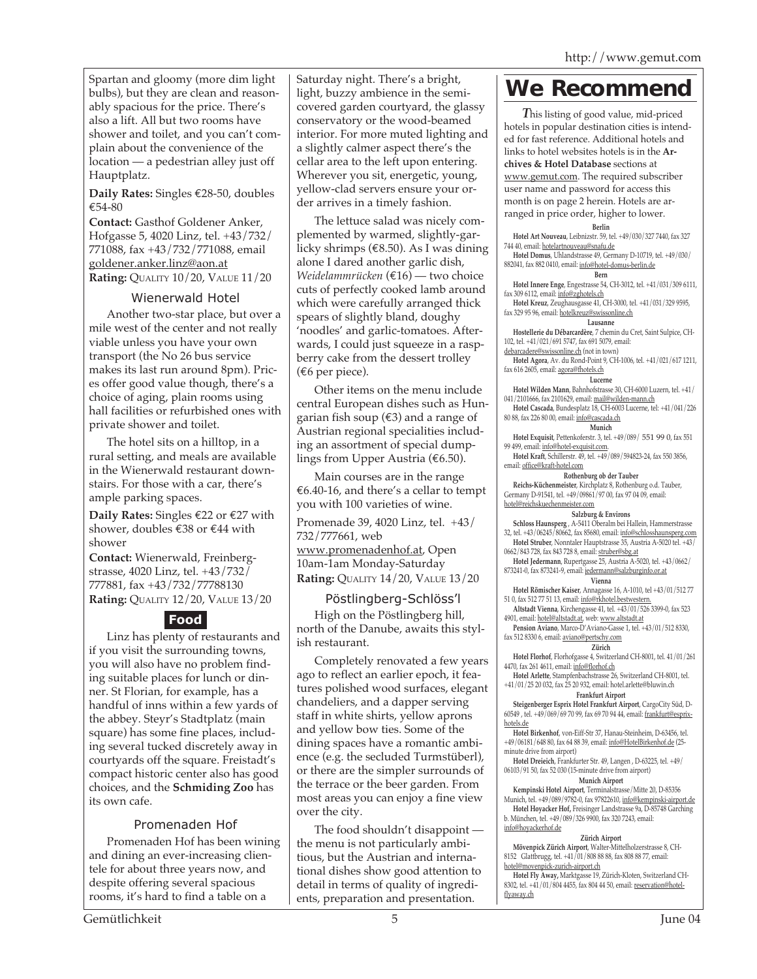Spartan and gloomy (more dim light bulbs), but they are clean and reasonably spacious for the price. There's also a lift. All but two rooms have shower and toilet, and you can't complain about the convenience of the location — a pedestrian alley just off Hauptplatz.

**Daily Rates:** Singles €28-50, doubles €54-80

**Contact:** Gasthof Goldener Anker, Hofgasse 5, 4020 Linz, tel. +43/732/ 771088, fax +43/732/771088, email goldener.anker.linz@aon.at

**Rating:** QUALITY 10/20, VALUE 11/20

#### Wienerwald Hotel

Another two-star place, but over a mile west of the center and not really viable unless you have your own transport (the No 26 bus service makes its last run around 8pm). Prices offer good value though, there's a choice of aging, plain rooms using hall facilities or refurbished ones with private shower and toilet.

The hotel sits on a hilltop, in a rural setting, and meals are available in the Wienerwald restaurant downstairs. For those with a car, there's ample parking spaces.

**Daily Rates:** Singles €22 or €27 with shower, doubles €38 or €44 with shower

**Contact:** Wienerwald, Freinbergstrasse, 4020 Linz, tel. +43/732/ 777881, fax +43/732/77788130 **Rating:** QUALITY 12/20, VALUE 13/20

#### **Food**

Linz has plenty of restaurants and if you visit the surrounding towns, you will also have no problem finding suitable places for lunch or dinner. St Florian, for example, has a handful of inns within a few yards of the abbey. Steyr's Stadtplatz (main square) has some fine places, including several tucked discretely away in courtyards off the square. Freistadt's compact historic center also has good choices, and the **Schmiding Zoo** has its own cafe.

#### Promenaden Hof

Promenaden Hof has been wining and dining an ever-increasing clientele for about three years now, and despite offering several spacious rooms, it's hard to find a table on a

Saturday night. There's a bright, light, buzzy ambience in the semicovered garden courtyard, the glassy conservatory or the wood-beamed interior. For more muted lighting and a slightly calmer aspect there's the cellar area to the left upon entering. Wherever you sit, energetic, young, yellow-clad servers ensure your order arrives in a timely fashion.

The lettuce salad was nicely complemented by warmed, slightly-garlicky shrimps ( $\epsilon$ 8.50). As I was dining alone I dared another garlic dish, *Weidelammrücken* (€16) — two choice cuts of perfectly cooked lamb around which were carefully arranged thick spears of slightly bland, doughy 'noodles' and garlic-tomatoes. Afterwards, I could just squeeze in a raspberry cake from the dessert trolley (€6 per piece).

Other items on the menu include central European dishes such as Hungarian fish soup  $(\epsilon 3)$  and a range of Austrian regional specialities including an assortment of special dumplings from Upper Austria ( $\epsilon$ 6.50).

Main courses are in the range €6.40-16, and there's a cellar to tempt you with 100 varieties of wine.

Promenade 39, 4020 Linz, tel. +43/ 732/777661, web www.promenadenhof.at, Open 10am-1am Monday-Saturday **Rating:** QUALITY 14/20, VALUE 13/20

#### Pöstlingberg-Schlöss'l

High on the Pöstlingberg hill, north of the Danube, awaits this stylish restaurant.

Completely renovated a few years ago to reflect an earlier epoch, it features polished wood surfaces, elegant chandeliers, and a dapper serving staff in white shirts, yellow aprons and yellow bow ties. Some of the dining spaces have a romantic ambience (e.g. the secluded Turmstüberl), or there are the simpler surrounds of the terrace or the beer garden. From most areas you can enjoy a fine view over the city.

The food shouldn't disappoint the menu is not particularly ambitious, but the Austrian and international dishes show good attention to detail in terms of quality of ingredients, preparation and presentation.

## **We Recommend**

*T*his listing of good value, mid-priced hotels in popular destination cities is intended for fast reference. Additional hotels and links to hotel websites hotels is in the **Archives & Hotel Database** sections at www.gemut.com. The required subscriber user name and password for access this month is on page 2 herein. Hotels are arranged in price order, higher to lower.

#### **Berlin**

**Hotel Art Nouveau**, Leibnizstr. 59, tel. +49/030/327 7440, fax 327

744 40, email: hotelartnouveau@snafu.de **Hotel Domus**, Uhlandstrasse 49, Germany D-10719, tel. +49/030/ 882041, fax 882 0410, email: info@hotel-domus-berlin.de

**Bern**

**Hotel Innere Enge**, Engestrasse 54, CH-3012, tel. +41/031/309 6111, fax 309 6112, email: info@zghotels.ch

**Hotel Kreuz**, Zeughausgasse 41, CH-3000, tel. +41/031/329 9595, fax 329 95 96, email: hotelkreuz@swissonline.ch

**Lausanne Hostellerie du Débarcardère**, 7 chemin du Cret, Saint Sulpice, CH-102, tel. +41/021/691 5747, fax 691 5079, email:

debarcadere@swissonline.ch (not in town)

**Hotel Agora**, Av. du Rond-Point 9, CH-1006, tel. +41/021/617 1211, fax 616 2605, email: agora@fhotels.ch

**Lucerne**

**Hotel Wilden Mann**, Bahnhofstrasse 30, CH-6000 Luzern, tel. +41/ 041/2101666, fax 2101629, email: mail@wilden-mann.ch **Hotel Cascada**, Bundesplatz 18, CH-6003 Lucerne, tel: +41/041/226

80 88, fax 226 80 00, email: info@cascada.ch

**Munich**

**Hotel Exquisit**, Pettenkoferstr. 3, tel. +49/089/ 551 99 0, fax 551 99 499, email: info@hotel-exquisit.com.

**Hotel Kraft**, Schillerstr. 49, tel. +49/089/594823-24, fax 550 3856, email: office@kraft-hotel.com

**Rothenburg ob der Tauber**

**Reichs-Küchenmeister**, Kirchplatz 8, Rothenburg o.d. Tauber, Germany D-91541, tel. +49/09861/97 00, fax 97 04 09, email: hotel@reichskuechenmeister.com

#### **Salzburg & Environs**

**Schloss Haunsperg** , A-5411 Oberalm bei Hallein, Hammerstrasse 32, tel. +43/06245/80662, fax 85680, email: info@schlosshaunsperg.com **Hotel Struber**, Nonntaler Hauptstrasse 35, Austria A-5020 tel. +43/

0662/843 728, fax 843 728 8, email: struber@sbg.at **Hotel Jedermann**, Rupertgasse 25, Austria A-5020, tel. +43/0662/ 873241-0, fax 873241-9, email: jedermann@salzburginfo.or.at

#### **Vienna**

**Hotel Römischer Kaiser**, Annagasse 16, A-1010, tel +43/01/512 77 51 0, fax 512 77 51 13, email: info@rkhotel.bestwestern.

**Altstadt Vienna**, Kirchengasse 41, tel. +43/01/526 3399-0, fax 523

4901, email: hotel@altstadt.at, web: www.altstadt.at **Pension Aviano**, Marco-D'Aviano-Gasse 1, tel. +43/01/512 8330, fax 512 8330 6, email: aviano@pertschy.com

**Zürich Hotel Florhof**, Florhofgasse 4, Switzerland CH-8001, tel. 41/01/261 4470, fax 261 4611, email: info@florhof.ch

**Hotel Arlette**, Stampfenbachstrasse 26, Switzerland CH-8001, tel. +41/01/25 20 032, fax 25 20 932, email: hotel.arlette@bluwin.ch

**Frankfurt Airport**

**Steigenberger Esprix Hotel Frankfurt Airport**, CargoCity Süd, D-60549 , tel. +49/069/69 70 99, fax 69 70 94 44, email: frankfurt@esprixhotels.de

**Hotel Birkenhof**, von-Eiff-Str 37, Hanau-Steinheim, D-63456, tel. +49/06181/648 80, fax 64 88 39, email: info@HotelBirkenhof.de (25-

minute drive from airport) **Hotel Dreieich**, Frankfurter Str. 49, Langen , D-63225, tel. +49/ 06103/91 50, fax 52 030 (15-minute drive from airport) **Munich Airport**

**Kempinski Hotel Airport**, Terminalstrasse/Mitte 20, D-85356 Munich, tel. +49/089/9782-0, fax 97822610, info@kempinski-airport.de **Hotel Hoyacker Hof,** Freisinger Landstrasse 9a, D-85748 Garching b. München, tel. +49/089/326 9900, fax 320 7243, email: info@hoyackerhof.de

**Zürich Airport**

**Mövenpick Zürich Airport**, Walter-Mittelholzerstrasse 8, CH-8152 Glattbrugg, tel. +41/01/808 88 88, fax 808 88 77, email:

hotel@movenpick-zurich-airport.ch **Hotel Fly Away,** Marktgasse 19, Zürich-Kloten, Switzerland CH-8302, tel. +41/01/804 4455, fax 804 44 50, email: reservation@hotelflyaway.ch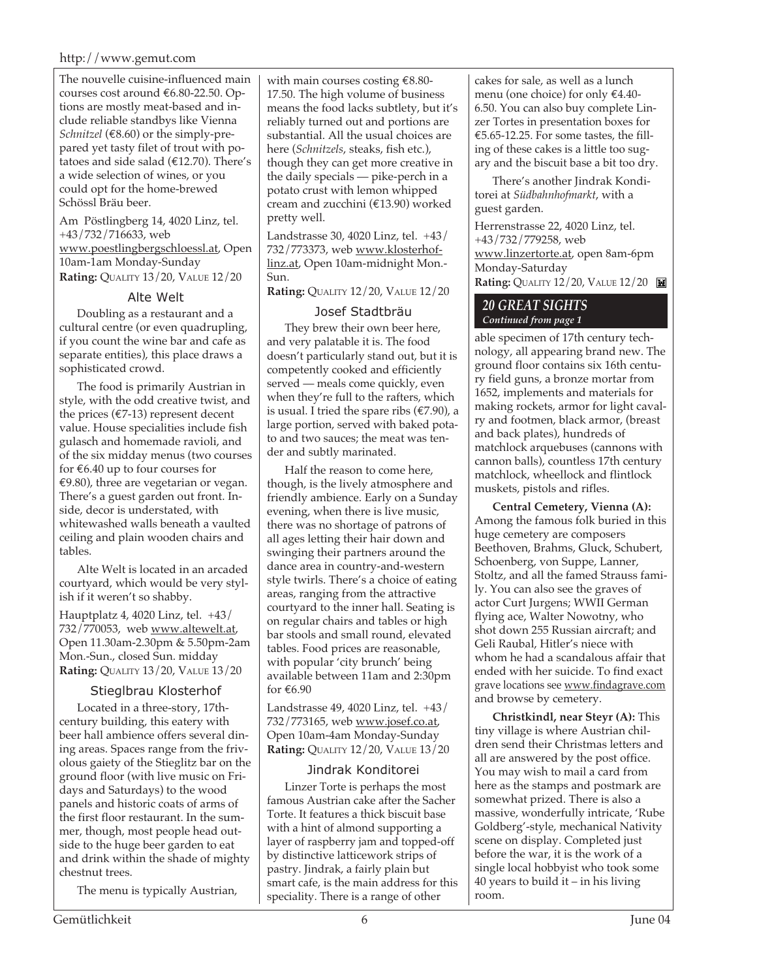The nouvelle cuisine-influenced main courses cost around €6.80-22.50. Options are mostly meat-based and include reliable standbys like Vienna *Schnitzel* (€8.60) or the simply-prepared yet tasty filet of trout with potatoes and side salad ( $£12.70$ ). There's a wide selection of wines, or you could opt for the home-brewed Schössl Bräu beer.

Am Pöstlingberg 14, 4020 Linz, tel. +43/732/716633, web www.poestlingbergschloessl.at, Open 10am-1am Monday-Sunday **Rating:** QUALITY 13/20, VALUE 12/20

#### Alte Welt

Doubling as a restaurant and a cultural centre (or even quadrupling, if you count the wine bar and cafe as separate entities), this place draws a sophisticated crowd.

The food is primarily Austrian in style, with the odd creative twist, and the prices ( $\epsilon$ 7-13) represent decent value. House specialities include fish gulasch and homemade ravioli, and of the six midday menus (two courses for  $\epsilon$ 6.40 up to four courses for €9.80), three are vegetarian or vegan. There's a guest garden out front. Inside, decor is understated, with whitewashed walls beneath a vaulted ceiling and plain wooden chairs and tables.

Alte Welt is located in an arcaded courtyard, which would be very stylish if it weren't so shabby.

Hauptplatz 4, 4020 Linz, tel. +43/ 732/770053, web www.altewelt.at, Open 11.30am-2.30pm & 5.50pm-2am Mon.-Sun., closed Sun. midday **Rating:** QUALITY 13/20, VALUE 13/20

#### Stieglbrau Klosterhof

Located in a three-story, 17thcentury building, this eatery with beer hall ambience offers several dining areas. Spaces range from the frivolous gaiety of the Stieglitz bar on the ground floor (with live music on Fridays and Saturdays) to the wood panels and historic coats of arms of the first floor restaurant. In the summer, though, most people head outside to the huge beer garden to eat and drink within the shade of mighty chestnut trees.

The menu is typically Austrian,

with main courses costing €8.80- 17.50. The high volume of business means the food lacks subtlety, but it's reliably turned out and portions are substantial. All the usual choices are here (*Schnitzels*, steaks, fish etc.), though they can get more creative in the daily specials — pike-perch in a potato crust with lemon whipped cream and zucchini (€13.90) worked pretty well.

Landstrasse 30, 4020 Linz, tel. +43/ 732/773373, web www.klosterhoflinz.at, Open 10am-midnight Mon.- Sun.

**Rating:** QUALITY 12/20, VALUE 12/20

#### Josef Stadtbräu

They brew their own beer here, and very palatable it is. The food doesn't particularly stand out, but it is competently cooked and efficiently served — meals come quickly, even when they're full to the rafters, which is usual. I tried the spare ribs (€7.90), a large portion, served with baked potato and two sauces; the meat was tender and subtly marinated.

Half the reason to come here, though, is the lively atmosphere and friendly ambience. Early on a Sunday evening, when there is live music, there was no shortage of patrons of all ages letting their hair down and swinging their partners around the dance area in country-and-western style twirls. There's a choice of eating areas, ranging from the attractive courtyard to the inner hall. Seating is on regular chairs and tables or high bar stools and small round, elevated tables. Food prices are reasonable, with popular 'city brunch' being available between 11am and 2:30pm for €6.90

Landstrasse 49, 4020 Linz, tel. +43/ 732/773165, web www.josef.co.at, Open 10am-4am Monday-Sunday **Rating:** QUALITY 12/20, VALUE 13/20

#### Jindrak Konditorei

Linzer Torte is perhaps the most famous Austrian cake after the Sacher Torte. It features a thick biscuit base with a hint of almond supporting a layer of raspberry jam and topped-off by distinctive latticework strips of pastry. Jindrak, a fairly plain but smart cafe, is the main address for this speciality. There is a range of other

cakes for sale, as well as a lunch menu (one choice) for only €4.40- 6.50. You can also buy complete Linzer Tortes in presentation boxes for €5.65-12.25. For some tastes, the filling of these cakes is a little too sugary and the biscuit base a bit too dry.

There's another Jindrak Konditorei at *Südbahnhofmarkt*, with a guest garden.

Herrenstrasse 22, 4020 Linz, tel. +43/732/779258, web www.linzertorte.at, open 8am-6pm Monday-Saturday **Rating:** QUALITY 12/20, VALUE 12/20

*20 GREAT SIGHTS Continued from page 1*

able specimen of 17th century technology, all appearing brand new. The ground floor contains six 16th century field guns, a bronze mortar from 1652, implements and materials for making rockets, armor for light cavalry and footmen, black armor, (breast and back plates), hundreds of matchlock arquebuses (cannons with cannon balls), countless 17th century matchlock, wheellock and flintlock muskets, pistols and rifles.

**Central Cemetery, Vienna (A):** Among the famous folk buried in this huge cemetery are composers Beethoven, Brahms, Gluck, Schubert, Schoenberg, von Suppe, Lanner, Stoltz, and all the famed Strauss family. You can also see the graves of actor Curt Jurgens; WWII German flying ace, Walter Nowotny, who shot down 255 Russian aircraft; and Geli Raubal, Hitler's niece with whom he had a scandalous affair that ended with her suicide. To find exact grave locations see www.findagrave.com and browse by cemetery.

**Christkindl, near Steyr (A):** This tiny village is where Austrian children send their Christmas letters and all are answered by the post office. You may wish to mail a card from here as the stamps and postmark are somewhat prized. There is also a massive, wonderfully intricate, 'Rube Goldberg'-style, mechanical Nativity scene on display. Completed just before the war, it is the work of a single local hobbyist who took some 40 years to build it – in his living room.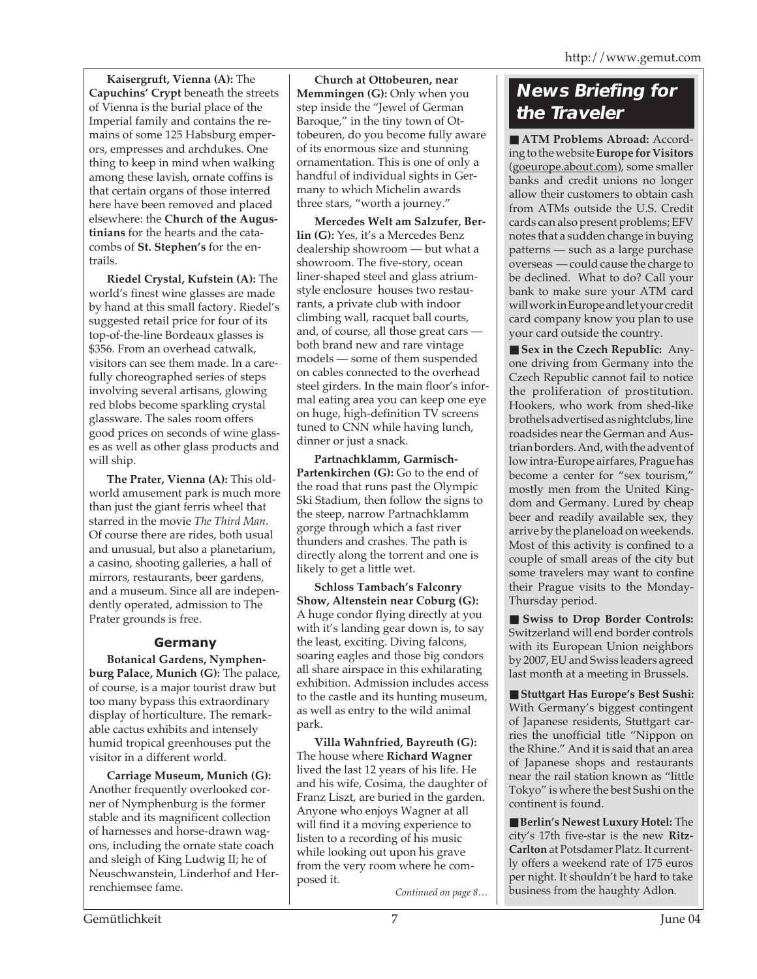**Kaisergruft, Vienna (A):** The **Capuchins' Crypt** beneath the streets of Vienna is the burial place of the Imperial family and contains the remains of some 125 Habsburg emperors, empresses and archdukes. One thing to keep in mind when walking among these lavish, ornate coffins is that certain organs of those interred here have been removed and placed elsewhere: the **Church of the Augustinians** for the hearts and the catacombs of **St. Stephen's** for the entrails.

**Riedel Crystal, Kufstein (A):** The world's finest wine glasses are made by hand at this small factory. Riedel's suggested retail price for four of its top-of-the-line Bordeaux glasses is \$356. From an overhead catwalk, visitors can see them made. In a carefully choreographed series of steps involving several artisans, glowing red blobs become sparkling crystal glassware. The sales room offers good prices on seconds of wine glasses as well as other glass products and will ship.

**The Prater, Vienna (A):** This oldworld amusement park is much more than just the giant ferris wheel that starred in the movie *The Third Man*. Of course there are rides, both usual and unusual, but also a planetarium, a casino, shooting galleries, a hall of mirrors, restaurants, beer gardens, and a museum. Since all are independently operated, admission to The Prater grounds is free.

#### **Germany**

**Botanical Gardens, Nymphenburg Palace, Munich (G):** The palace, of course, is a major tourist draw but too many bypass this extraordinary display of horticulture. The remarkable cactus exhibits and intensely humid tropical greenhouses put the visitor in a different world.

**Carriage Museum, Munich (G):** Another frequently overlooked corner of Nymphenburg is the former stable and its magnificent collection of harnesses and horse-drawn wagons, including the ornate state coach and sleigh of King Ludwig II; he of Neuschwanstein, Linderhof and Herrenchiemsee fame.

**Church at Ottobeuren, near Memmingen (G):** Only when you step inside the "Jewel of German Baroque," in the tiny town of Ottobeuren, do you become fully aware of its enormous size and stunning ornamentation. This is one of only a handful of individual sights in Germany to which Michelin awards three stars, "worth a journey."

**Mercedes Welt am Salzufer, Berlin (G):** Yes, it's a Mercedes Benz dealership showroom — but what a showroom. The five-story, ocean liner-shaped steel and glass atriumstyle enclosure houses two restaurants, a private club with indoor climbing wall, racquet ball courts, and, of course, all those great cars both brand new and rare vintage models — some of them suspended on cables connected to the overhead steel girders. In the main floor's informal eating area you can keep one eye on huge, high-definition TV screens tuned to CNN while having lunch, dinner or just a snack.

**Partnachklamm, Garmisch-Partenkirchen (G):** Go to the end of the road that runs past the Olympic Ski Stadium, then follow the signs to the steep, narrow Partnachklamm gorge through which a fast river thunders and crashes. The path is directly along the torrent and one is likely to get a little wet.

**Schloss Tambach's Falconry Show, Altenstein near Coburg (G):** A huge condor flying directly at you with it's landing gear down is, to say the least, exciting. Diving falcons, soaring eagles and those big condors all share airspace in this exhilarating exhibition. Admission includes access to the castle and its hunting museum, as well as entry to the wild animal park.

**Villa Wahnfried, Bayreuth (G):** The house where **Richard Wagner** lived the last 12 years of his life. He and his wife, Cosima, the daughter of Franz Liszt, are buried in the garden. Anyone who enjoys Wagner at all will find it a moving experience to listen to a recording of his music while looking out upon his grave from the very room where he composed it.

### **News Briefing for the Traveler**

■ **ATM Problems Abroad: Accord**ing to the website **Europe for Visitors** (goeurope.about.com), some smaller banks and credit unions no longer allow their customers to obtain cash from ATMs outside the U.S. Credit cards can also present problems; EFV notes that a sudden change in buying patterns — such as a large purchase overseas — could cause the charge to be declined. What to do? Call your bank to make sure your ATM card will work in Europe and let your credit card company know you plan to use your card outside the country.

■ **Sex in the Czech Republic:** Anyone driving from Germany into the Czech Republic cannot fail to notice the proliferation of prostitution. Hookers, who work from shed-like brothels advertised as nightclubs, line roadsides near the German and Austrian borders. And, with the advent of low intra-Europe airfares, Prague has become a center for "sex tourism," mostly men from the United Kingdom and Germany. Lured by cheap beer and readily available sex, they arrive by the planeload on weekends. Most of this activity is confined to a couple of small areas of the city but some travelers may want to confine their Prague visits to the Monday-Thursday period.

■ Swiss to Drop Border Controls: Switzerland will end border controls with its European Union neighbors by 2007, EU and Swiss leaders agreed last month at a meeting in Brussels.

■ **Stuttgart Has Europe's Best Sushi:** With Germany's biggest contingent of Japanese residents, Stuttgart carries the unofficial title "Nippon on the Rhine." And it is said that an area of Japanese shops and restaurants near the rail station known as "little Tokyo" is where the best Sushi on the continent is found.

■ **Berlin's Newest Luxury Hotel:** The city's 17th five-star is the new **Ritz-Carlton** at Potsdamer Platz. It currently offers a weekend rate of 175 euros per night. It shouldn't be hard to take *Continued on page 8...* | business from the haughty Adlon.